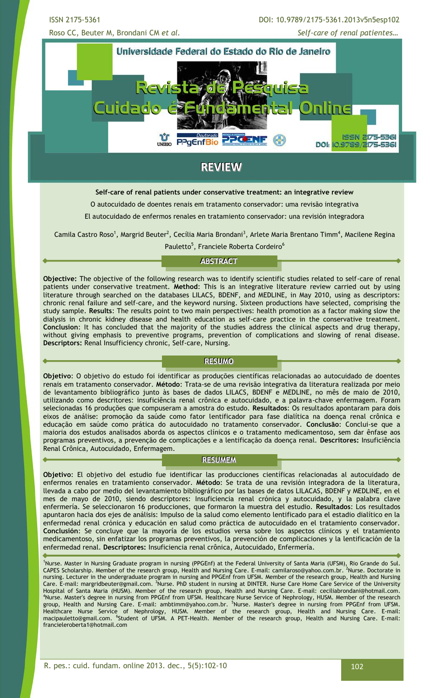ISSN 2175-5361 DOI: 10.9789/2175-5361.2013v5n5esp102

Roso CC, Beuter M, Brondani CM *et al. Self-care of renal patientes…*



# **REVIEW**

### **Self-care of renal patients under conservative treatment: an integrative review**

O autocuidado de doentes renais em tratamento conservador: uma revisão integrativa

El autocuidado de enfermos renales en tratamiento conservador: una revisión integradora

Camila Castro Roso<sup>1</sup>, Margrid Beuter<sup>2</sup>, Cecília Maria Brondani<sup>3</sup>, Arlete Maria Brentano Timm<sup>4</sup>, Macilene Regina Pauletto<sup>5</sup>, Franciele Roberta Cordeiro<sup>6</sup>

### **ABSTRACT**

**Objective:** The objective of the following research was to identify scientific studies related to self-care of renal patients under conservative treatment. **Method**: This is an integrative literature review carried out by using literature through searched on the databases LILACS, BDENF, and MEDLINE, in May 2010, using as descriptors: chronic renal failure and self-care, and the keyword nursing. Sixteen productions have selected, comprising the study sample. **Results**: The results point to two main perspectives: health promotion as a factor making slow the dialysis in chronic kidney disease and health education as self-care practice in the conservative treatment. **Conclusion**: It has concluded that the majority of the studies address the clinical aspects and drug therapy, without giving emphasis to preventive programs, prevention of complications and slowing of renal disease. **Descriptors:** Renal Insufficiency chronic, Self-care, Nursing.

### **RESUMO**

**Objetivo**: O objetivo do estudo foi identificar as produções científicas relacionadas ao autocuidado de doentes renais em tratamento conservador. **Método**: Trata-se de uma revisão integrativa da literatura realizada por meio de levantamento bibliográfico junto às bases de dados LILACS, BDENF e MEDLINE, no mês de maio de 2010, utilizando como descritores: insuficiência renal crônica e autocuidado, e a palavra-chave enfermagem. Foram selecionadas 16 produções que compuseram a amostra do estudo. **Resultados**: Os resultados apontaram para dois eixos de análise: promoção da saúde como fator lentificador para fase dialítica na doença renal crônica e educação em saúde como prática do autocuidado no tratamento conservador. **Conclusão**: Conclui-se que a maioria dos estudos analisados aborda os aspectos clínicos e o tratamento medicamentoso, sem dar ênfase aos programas preventivos, a prevenção de complicações e a lentificação da doença renal. **Descritores:** Insuficiência Renal Crônica, Autocuidado, Enfermagem.

### **RESUMEM**

**Objetivo**: El objetivo del estudio fue identificar las producciones científicas relacionadas al autocuidado de enfermos renales en tratamiento conservador. **Método**: Se trata de una revisión integradora de la literatura, llevada a cabo por medio del levantamiento bibliográfico por las bases de datos LILACAS, BDENF y MEDLINE, en el mes de mayo de 2010, siendo descriptores: Insuficiencia renal crónica y autocuidado, y la palabra clave enfermería. Se seleccionaron 16 producciones, que formaron la muestra del estudio. **Resultados**: Los resultados apuntaron hacia dos ejes de análisis: Impulso de la salud como elemento lentificado para el estadio dialítico en la enfermedad renal crónica y educación en salud como práctica de autocuidado en el tratamiento conservador. **Conclusión**: Se concluye que la mayoría de los estudios versa sobre los aspectos clínicos y el tratamiento medicamentoso, sin enfatizar los programas preventivos, la prevención de complicaciones y la lentificación de la enfermedad renal. **Descriptores:** Insuficiencia renal crônica, Autocuidado, Enfermería.

<sup>1</sup>Nurse. Master in Nursing Graduate program in nursing (PPGEnf) at the Federal University of Santa Maria (UFSM), Rio Grande do Sul. CAPES Scholarship. Member of the research group, Health and Nursing Care. E-mail: [camilaroso@yahoo.com.br.](mailto:camilaroso@yahoo.com.br) <sup>2</sup>Nurse. Doctorate in nursing. Lecturer in the undergraduate program in nursing and PPGEnf from UFSM. Member of the research group, Health and Nursing Care. E-mail: margridbeuter@gmail.com. <sup>3</sup>Nurse. PhD student in nursing at DINTER. Nurse Care Home Care Service of the University Hospital of Santa Maria (HUSM). Member of the research group, Health and Nursing Care. E-mail: [ceciliabrondani@hotmail.com.](mailto:ceciliabrondani@hotmail.com) <sup>4</sup>Nurse. Master's degree in nursing from PPGEnf from UFSM. Healthcare Nurse Service of Nephrology, HUSM. Member of the research group, Health and Nursing Care. E-mail: [ambtimm@yahoo.com.br.](mailto:ambtimm@yahoo.com.br) <sup>5</sup>Nurse. Master's degree in nursing from PPGEnf from UFSM. Healthcare Nurse Service of Nephrology, HUSM. Member of the research group, Health and Nursing Care. E-mail: [macipauletto@gmail.com.](mailto:macipauletto@gmail.com) <sup>6</sup>Student of UFSM. A PET-Health. Member of the research group, Health and Nursing Care. E-mail: francieleroberta1@hotmail.com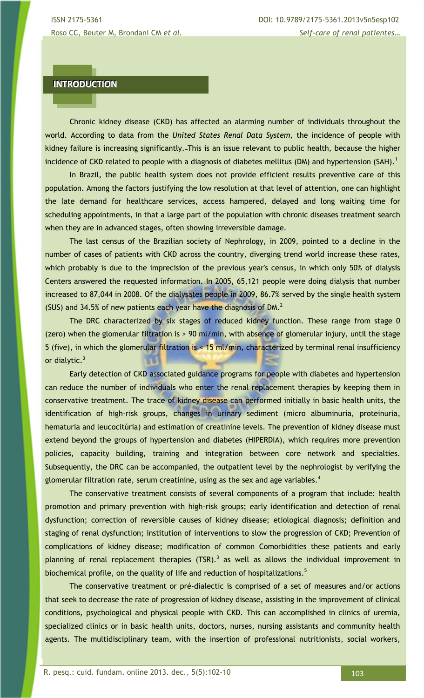# **INTRODUCTION**

Chronic kidney disease (CKD) has affected an alarming number of individuals throughout the world. According to data from the *United States Renal Data System,* the incidence of people with kidney failure is increasing significantly. This is an issue relevant to public health, because the higher incidence of CKD related to people with a diagnosis of diabetes mellitus (DM) and hypertension (SAH).<sup>1</sup>

In Brazil, the public health system does not provide efficient results preventive care of this population. Among the factors justifying the low resolution at that level of attention, one can highlight the late demand for healthcare services, access hampered, delayed and long waiting time for scheduling appointments, in that a large part of the population with chronic diseases treatment search when they are in advanced stages, often showing irreversible damage.

The last census of the Brazilian society of Nephrology, in 2009, pointed to a decline in the number of cases of patients with CKD across the country, diverging trend world increase these rates, which probably is due to the imprecision of the previous year's census, in which only 50% of dialysis Centers answered the requested information. In 2005, 65,121 people were doing dialysis that number increased to 87,044 in 2008. Of the dialysates people in 2009, 86.7% served by the single health system (SUS) and 34.5% of new patients each year have the diagnosis of DM. $<sup>2</sup>$ </sup>

The DRC characterized by six stages of reduced kidney function. These range from stage 0 (zero) when the glomerular filtration is > 90 ml/min, with absence of glomerular injury, until the stage 5 (five), in which the glomerular filtration is < 15 ml/min, characterized by terminal renal insufficiency or dialytic. $3$ 

Early detection of CKD associated guidance programs for people with diabetes and hypertension can reduce the number of individuals who enter the renal replacement therapies by keeping them in conservative treatment. The trace of kidney disease can performed initially in basic health units, the identification of high-risk groups, changes in urinary sediment (micro albuminuria, proteinuria, hematuria and leucocitúria) and estimation of creatinine levels. The prevention of kidney disease must extend beyond the groups of hypertension and diabetes (HIPERDIA), which requires more prevention policies, capacity building, training and integration between core network and specialties. Subsequently, the DRC can be accompanied, the outpatient level by the nephrologist by verifying the glomerular filtration rate, serum creatinine, using as the sex and age variables. $4$ 

The conservative treatment consists of several components of a program that include: health promotion and primary prevention with high-risk groups; early identification and detection of renal dysfunction; correction of reversible causes of kidney disease; etiological diagnosis; definition and staging of renal dysfunction; institution of interventions to slow the progression of CKD; Prevention of complications of kidney disease; modification of common Comorbidities these patients and early planning of renal replacement therapies (TSR).<sup>3</sup> as well as allows the individual improvement in biochemical profile, on the quality of life and reduction of hospitalizations.<sup>5</sup>

The conservative treatment or pré-dialectic is comprised of a set of measures and/or actions that seek to decrease the rate of progression of kidney disease, assisting in the improvement of clinical conditions, psychological and physical people with CKD. This can accomplished in clinics of uremia, specialized clinics or in basic health units, doctors, nurses, nursing assistants and community health agents. The multidisciplinary team, with the insertion of professional nutritionists, social workers,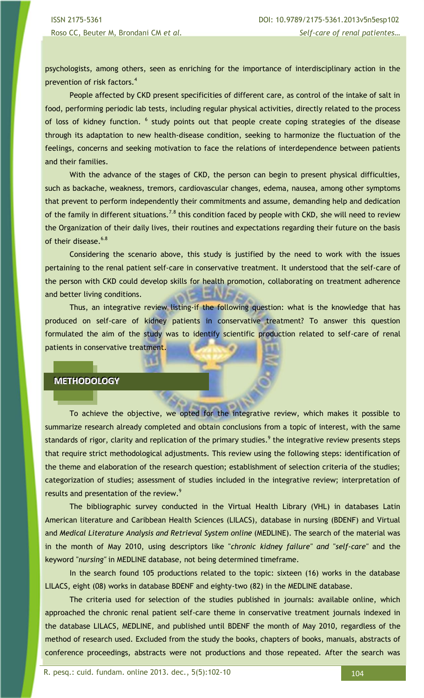psychologists, among others, seen as enriching for the importance of interdisciplinary action in the prevention of risk factors.<sup>4</sup>

People affected by CKD present specificities of different care, as control of the intake of salt in food, performing periodic lab tests, including regular physical activities, directly related to the process of loss of kidney function. <sup>6</sup> study points out that people create coping strategies of the disease through its adaptation to new health-disease condition, seeking to harmonize the fluctuation of the feelings, concerns and seeking motivation to face the relations of interdependence between patients and their families.

With the advance of the stages of CKD, the person can begin to present physical difficulties, such as backache, weakness, tremors, cardiovascular changes, edema, nausea, among other symptoms that prevent to perform independently their commitments and assume, demanding help and dedication of the family in different situations.<sup>7.8</sup> this condition faced by people with CKD, she will need to review the Organization of their daily lives, their routines and expectations regarding their future on the basis of their disease.<sup>6.8</sup>

Considering the scenario above, this study is justified by the need to work with the issues pertaining to the renal patient self-care in conservative treatment. It understood that the self-care of the person with CKD could develop skills for health promotion, collaborating on treatment adherence and better living conditions.

Thus, an integrative review listing-if the following question: what is the knowledge that has produced on self-care of kidney patients in conservative treatment? To answer this question formulated the aim of the study was to identify scientific production related to self-care of renal patients in conservative treatment.

### **METHODOLOGY**

To achieve the objective, we opted for the integrative review, which makes it possible to summarize research already completed and obtain conclusions from a topic of interest, with the same standards of rigor, clarity and replication of the primary studies.<sup>9</sup> the integrative review presents steps that require strict methodological adjustments. This review using the following steps: identification of the theme and elaboration of the research question; establishment of selection criteria of the studies; categorization of studies; assessment of studies included in the integrative review; interpretation of results and presentation of the review.<sup>9</sup>

The bibliographic survey conducted in the Virtual Health Library (VHL) in databases Latin American literature and Caribbean Health Sciences (LILACS), database in nursing (BDENF) and Virtual and *Medical Literature Analysis and Retrieval System online* (MEDLINE). The search of the material was in the month of May 2010, using descriptors like "*chronic kidney failure" and* "*self-care"* and the keyword "*nursing"* in MEDLINE database, not being determined timeframe.

In the search found 105 productions related to the topic: sixteen (16) works in the database LILACS, eight (08) works in database BDENF and eighty-two (82) in the MEDLINE database.

The criteria used for selection of the studies published in journals: available online, which approached the chronic renal patient self-care theme in conservative treatment journals indexed in the database LILACS, MEDLINE, and published until BDENF the month of May 2010, regardless of the method of research used. Excluded from the study the books, chapters of books, manuals, abstracts of conference proceedings, abstracts were not productions and those repeated. After the search was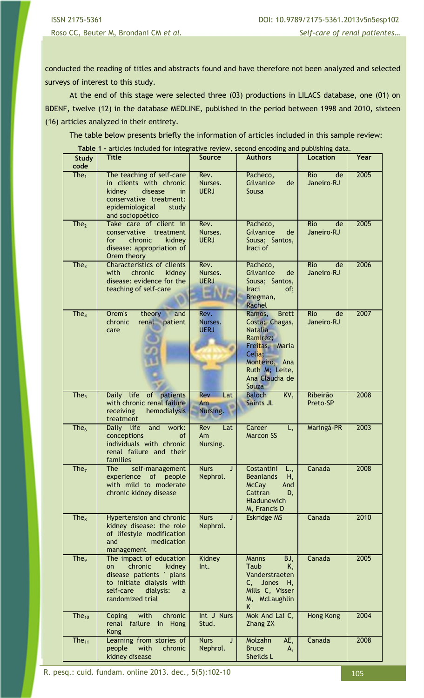ISSN 2175-5361 DOI: 10.9789/2175-5361.2013v5n5esp102 Roso CC, Beuter M, Brondani CM *et al. Self-care of renal patientes…*

conducted the reading of titles and abstracts found and have therefore not been analyzed and selected surveys of interest to this study.

At the end of this stage were selected three (03) productions in LILACS database, one (01) on BDENF, twelve (12) in the database MEDLINE, published in the period between 1998 and 2010, sixteen (16) articles analyzed in their entirety.

The table below presents briefly the information of articles included in this sample review:

**Table 1 –** articles included for integrative review, second encoding and publishing data.

| <b>Study</b><br>code | <b>Title</b>                                                                                                                                                   | <b>Source</b>                             | <b>Authors</b>                                                                                                                                                   | <b>Location</b>                | Year |
|----------------------|----------------------------------------------------------------------------------------------------------------------------------------------------------------|-------------------------------------------|------------------------------------------------------------------------------------------------------------------------------------------------------------------|--------------------------------|------|
| The <sub>1</sub>     | The teaching of self-care<br>in clients with chronic<br>kidney<br>disease<br>in.<br>conservative treatment:<br>epidemiological<br>study<br>and sociopoético    | Rev.<br>Nurses.<br><b>UERJ</b>            | Pacheco,<br>Gilvanice<br>de<br>Sousa                                                                                                                             | <b>Rio</b><br>de<br>Janeiro-RJ | 2005 |
| The <sub>2</sub>     | Take care of client in<br>conservative treatment<br>for<br>chronic<br>kidney<br>disease: appropriation of<br>Orem theory                                       | Rev.<br>Nurses.<br><b>UERJ</b>            | Pacheco,<br>Gilvanice<br>de<br>Sousa; Santos,<br>Iraci of                                                                                                        | <b>Rio</b><br>de<br>Janeiro-RJ | 2005 |
| The <sub>3</sub>     | <b>Characteristics of clients</b><br>with<br>chronic<br>kidney<br>disease: evidence for the<br>teaching of self-care                                           | Rev.<br>Nurses.<br><b>UERJ</b>            | Pacheco,<br>Gilvanice<br>de<br>Sousa; Santos,<br><b>Iraci</b><br>of;<br>Bregman,<br>Rachel                                                                       | Rio<br>de<br>Janeiro-RJ        | 2006 |
| The <sub>4</sub>     | Orem's<br>theory<br>and<br>chronic<br>renal patient<br>care                                                                                                    | Rev.<br>Nurses.<br><b>UERJ</b>            | Ramos,<br><b>Brett</b><br>Costa; Chagas,<br><b>Natalia</b><br>Ramirez;<br>Freitas, Maria<br>Celia;<br>Monteiro, Ana<br>Ruth M; Leite,<br>Ana Claudia de<br>Souza | Rio<br>de<br>Janeiro-RJ        | 2007 |
| The <sub>5</sub>     | Daily life of patients<br>with chronic renal failure<br>receiving<br>hemodialysis<br>treatment                                                                 | <b>Rev</b><br>Lat<br>Am<br>Nursing.       | <b>Baloch</b><br>KV,<br><b>Saints JL</b>                                                                                                                         | Ribeirão<br>Preto-SP           | 2008 |
| The <sub>6</sub>     | Daily life<br>and<br>work:<br>conceptions<br>of<br>individuals with chronic<br>renal failure and their<br>families                                             | Rev<br>Lat<br>Am<br>Nursing.              | Career<br>L,<br><b>Marcon SS</b>                                                                                                                                 | Maringá-PR                     | 2003 |
| The <sub>7</sub>     | self-management<br><b>The</b><br>of<br>experience<br>people<br>with mild to moderate<br>chronic kidney disease                                                 | <b>Nurs</b><br>J <sub>1</sub><br>Nephrol. | Costantini<br>L.,<br><b>Beanlands</b><br>Н,<br>McCay<br>And<br>Cattran<br>D,<br><b>Hladunewich</b><br>M, Francis D                                               | Canada                         | 2008 |
| The <sub>8</sub>     | <b>Hypertension and chronic</b><br>kidney disease: the role<br>of lifestyle modification<br>and<br>medication<br>management                                    | <b>Nurs</b><br>J<br>Nephrol.              | <b>Eskridge MS</b>                                                                                                                                               | Canada                         | 2010 |
| The <sub>9</sub>     | The impact of education<br>chronic<br>kidney<br>on<br>disease patients ' plans<br>to initiate dialysis with<br>self-care<br>dialysis:<br>a<br>randomized trial | Kidney<br>Int.                            | Manns<br>BJ,<br>Taub<br>K,<br>Vanderstraeten<br>Jones<br>C,<br>Н,<br>Mills C, Visser<br>M, McLaughlin<br>K.                                                      | Canada                         | 2005 |
| The $_{10}$          | chronic<br>with<br>Coping<br>renal failure in<br>Hong<br><b>Kong</b>                                                                                           | Int J Nurs<br>Stud.                       | Mok And Lai C,<br><b>Zhang ZX</b>                                                                                                                                | Hong Kong                      | 2004 |
| The <sub>11</sub>    | Learning from stories of<br>people<br>with<br>chronic<br>kidney disease                                                                                        | <b>Nurs</b><br>J<br>Nephrol.              | Molzahn<br>AE,<br><b>Bruce</b><br>Α,<br>Sheilds L                                                                                                                | Canada                         | 2008 |

R. pesq.: cuid. fundam. online 2013. dec., 5(5):102-10 105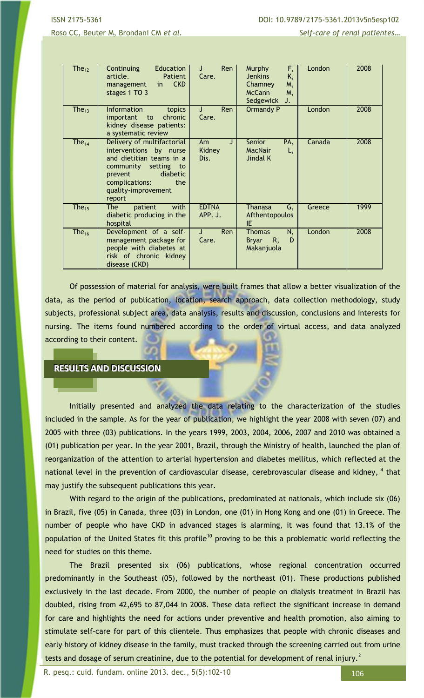Roso CC, Beuter M, Brondani CM *et al.* **Self-care of renal patientes...** Self-care of renal patientes...

| The <sub>12</sub> | Continuing<br>Education<br>article.<br>Patient<br><b>CKD</b><br>management<br>in.<br>stages 1 TO 3                                                                                               | Ren  <br>J<br>Care.       | F,<br>Murphy<br><b>Jenkins</b><br>K,<br>Chamney<br>M,<br><b>McCann</b><br>M,<br>Sedgewick<br>J. | London | 2008 |
|-------------------|--------------------------------------------------------------------------------------------------------------------------------------------------------------------------------------------------|---------------------------|-------------------------------------------------------------------------------------------------|--------|------|
| The $_{13}$       | <b>Information</b><br>topics<br>important<br>chronic<br>to<br>kidney disease patients:<br>a systematic review                                                                                    | <b>Ren</b><br>J.<br>Care. | Ormandy P                                                                                       | London | 2008 |
| The $_{14}$       | Delivery of multifactorial<br>interventions by nurse<br>and dietitian teams in a<br>community setting to<br>diabetic<br><b>prevent</b><br>complications:<br>the<br>quality-improvement<br>report | Am<br>J<br>Kidney<br>Dis. | Senior<br>PA,<br><b>MacNair</b><br>L,<br>Jindal K                                               | Canada | 2008 |
| The <sub>15</sub> | <b>The</b><br>with<br>patient<br>diabetic producing in the<br>hospital                                                                                                                           | <b>EDTNA</b><br>APP. J.   | <b>Thanasa</b><br>G,<br>Afthentopoulos<br>IE.                                                   | Greece | 1999 |
| The $_{16}$       | Development of a self-<br>management package for<br>people with diabetes at<br>risk of chronic kidney<br>disease (CKD)                                                                           | Ren<br>J.<br>Care.        | N,<br><b>Thomas</b><br><b>Bryar</b><br>R,<br>D<br>Makanjuola                                    | London | 2008 |

Of possession of material for analysis, were built frames that allow a better visualization of the data, as the period of publication, location, search approach, data collection methodology, study subjects, professional subject area, data analysis, results and discussion, conclusions and interests for nursing. The items found numbered according to the order of virtual access, and data analyzed according to their content.

# **RESULTS AND DISCUSSION**

Initially presented and analyzed the data relating to the characterization of the studies included in the sample. As for the year of publication, we highlight the year 2008 with seven (07) and 2005 with three (03) publications. In the years 1999, 2003, 2004, 2006, 2007 and 2010 was obtained a (01) publication per year. In the year 2001, Brazil, through the Ministry of health, launched the plan of reorganization of the attention to arterial hypertension and diabetes mellitus, which reflected at the national level in the prevention of cardiovascular disease, cerebrovascular disease and kidney, <sup>4</sup> that may justify the subsequent publications this year.

With regard to the origin of the publications, predominated at nationals, which include six (06) in Brazil, five (05) in Canada, three (03) in London, one (01) in Hong Kong and one (01) in Greece. The number of people who have CKD in advanced stages is alarming, it was found that 13.1% of the population of the United States fit this profile<sup>10</sup> proving to be this a problematic world reflecting the need for studies on this theme.

The Brazil presented six (06) publications, whose regional concentration occurred predominantly in the Southeast (05), followed by the northeast (01). These productions published exclusively in the last decade. From 2000, the number of people on dialysis treatment in Brazil has doubled, rising from 42,695 to 87,044 in 2008. These data reflect the significant increase in demand for care and highlights the need for actions under preventive and health promotion, also aiming to stimulate self-care for part of this clientele. Thus emphasizes that people with chronic diseases and early history of kidney disease in the family, must tracked through the screening carried out from urine tests and dosage of serum creatinine, due to the potential for development of renal injury.<sup>2</sup>

R. pesq.: cuid. fundam. online 2013. dec., 5(5):102-10 106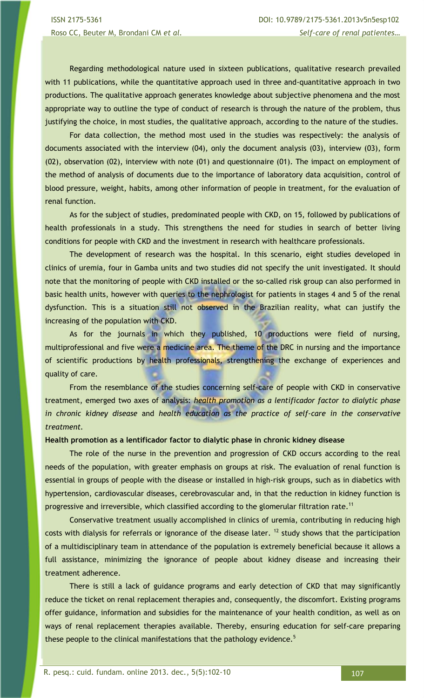Regarding methodological nature used in sixteen publications, qualitative research prevailed with 11 publications, while the quantitative approach used in three and-quantitative approach in two productions. The qualitative approach generates knowledge about subjective phenomena and the most appropriate way to outline the type of conduct of research is through the nature of the problem, thus justifying the choice, in most studies, the qualitative approach, according to the nature of the studies.

For data collection, the method most used in the studies was respectively: the analysis of documents associated with the interview (04), only the document analysis (03), interview (03), form (02), observation (02), interview with note (01) and questionnaire (01). The impact on employment of the method of analysis of documents due to the importance of laboratory data acquisition, control of blood pressure, weight, habits, among other information of people in treatment, for the evaluation of renal function.

As for the subject of studies, predominated people with CKD, on 15, followed by publications of health professionals in a study. This strengthens the need for studies in search of better living conditions for people with CKD and the investment in research with healthcare professionals.

The development of research was the hospital. In this scenario, eight studies developed in clinics of uremia, four in Gamba units and two studies did not specify the unit investigated. It should note that the monitoring of people with CKD installed or the so-called risk group can also performed in basic health units, however with queries to the nephrologist for patients in stages 4 and 5 of the renal dysfunction. This is a situation still not observed in the Brazilian reality, what can justify the increasing of the population with CKD.

As for the journals in which they published, 10 productions were field of nursing, multiprofessional and five were a medicine area. The theme of the DRC in nursing and the importance of scientific productions by health professionals, strengthening the exchange of experiences and quality of care.

From the resemblance of the studies concerning self-care of people with CKD in conservative treatment, emerged two axes of analysis: *health promotion as a lentificador factor to dialytic phase in chronic kidney disease* and *health education as the practice of self-care in the conservative treatment.*

### **Health promotion as a lentificador factor to dialytic phase in chronic kidney disease**

The role of the nurse in the prevention and progression of CKD occurs according to the real needs of the population, with greater emphasis on groups at risk. The evaluation of renal function is essential in groups of people with the disease or installed in high-risk groups, such as in diabetics with hypertension, cardiovascular diseases, cerebrovascular and, in that the reduction in kidney function is progressive and irreversible, which classified according to the glomerular filtration rate.<sup>11</sup>

Conservative treatment usually accomplished in clinics of uremia, contributing in reducing high costs with dialysis for referrals or ignorance of the disease later.  $12$  study shows that the participation of a multidisciplinary team in attendance of the population is extremely beneficial because it allows a full assistance, minimizing the ignorance of people about kidney disease and increasing their treatment adherence.

There is still a lack of guidance programs and early detection of CKD that may significantly reduce the ticket on renal replacement therapies and, consequently, the discomfort. Existing programs offer guidance, information and subsidies for the maintenance of your health condition, as well as on ways of renal replacement therapies available. Thereby, ensuring education for self-care preparing these people to the clinical manifestations that the pathology evidence.<sup>5</sup>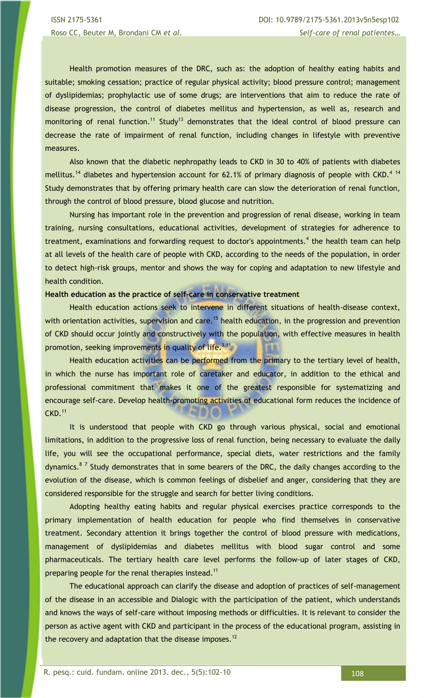ISSN 2175-5361 DOI: 10.9789/2175-5361.2013v5n5esp102 Roso CC, Beuter M, Brondani CM *et al. Self-care of renal patientes…*

Health promotion measures of the DRC, such as: the adoption of healthy eating habits and suitable; smoking cessation; practice of regular physical activity; blood pressure control; management of dyslipidemias; prophylactic use of some drugs; are interventions that aim to reduce the rate of disease progression, the control of diabetes mellitus and hypertension, as well as, research and monitoring of renal function.<sup>11</sup> Study<sup>13</sup> demonstrates that the ideal control of blood pressure can decrease the rate of impairment of renal function, including changes in lifestyle with preventive measures.

Also known that the diabetic nephropathy leads to CKD in 30 to 40% of patients with diabetes mellitus.<sup>14</sup> diabetes and hypertension account for 62.1% of primary diagnosis of people with CKD.<sup>4 14</sup> Study demonstrates that by offering primary health care can slow the deterioration of renal function, through the control of blood pressure, blood glucose and nutrition.

Nursing has important role in the prevention and progression of renal disease, working in team training, nursing consultations, educational activities, development of strategies for adherence to treatment, examinations and forwarding request to doctor's appointments.<sup>4</sup> the health team can help at all levels of the health care of people with CKD, according to the needs of the population, in order to detect high-risk groups, mentor and shows the way for coping and adaptation to new lifestyle and health condition.

### **Health education as the practice of self-care in conservative treatment**

Health education actions seek to intervene in different situations of health-disease context, with orientation activities, supervision and care.<sup>15</sup> health education, in the progression and prevention of CKD should occur jointly and constructively with the population, with effective measures in health promotion, seeking improvements in quality of life.<sup>3.11</sup>

Health education activities can be performed from the primary to the tertiary level of health, in which the nurse has important role of caretaker and educator, in addition to the ethical and professional commitment that makes it one of the greatest responsible for systematizing and encourage self-care. Develop health-promoting activities of educational form reduces the incidence of  $CKD.<sup>11</sup>$ 

It is understood that people with CKD go through various physical, social and emotional limitations, in addition to the progressive loss of renal function, being necessary to evaluate the daily life, you will see the occupational performance, special diets, water restrictions and the family dynamics.<sup>87</sup> Study demonstrates that in some bearers of the DRC, the daily changes according to the evolution of the disease, which is common feelings of disbelief and anger, considering that they are considered responsible for the struggle and search for better living conditions.

Adopting healthy eating habits and regular physical exercises practice corresponds to the primary implementation of health education for people who find themselves in conservative treatment. Secondary attention it brings together the control of blood pressure with medications, management of dyslipidemias and diabetes mellitus with blood sugar control and some pharmaceuticals. The tertiary health care level performs the follow-up of later stages of CKD, preparing people for the renal therapies instead.<sup>11</sup>

The educational approach can clarify the disease and adoption of practices of self-management of the disease in an accessible and Dialogic with the participation of the patient, which understands and knows the ways of self-care without imposing methods or difficulties. It is relevant to consider the person as active agent with CKD and participant in the process of the educational program, assisting in the recovery and adaptation that the disease imposes.<sup>12</sup>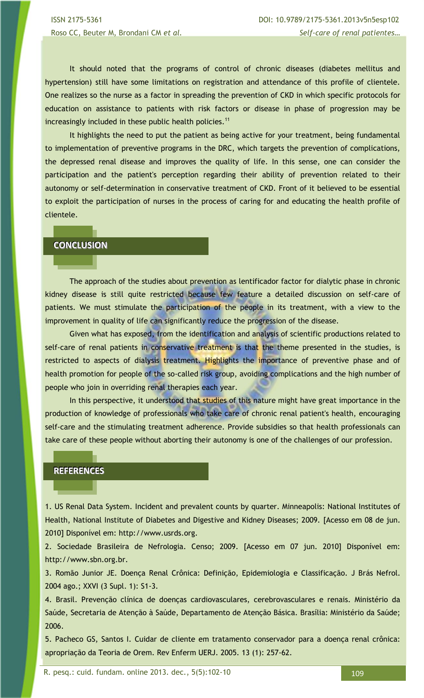It should noted that the programs of control of chronic diseases (diabetes mellitus and hypertension) still have some limitations on registration and attendance of this profile of clientele. One realizes so the nurse as a factor in spreading the prevention of CKD in which specific protocols for education on assistance to patients with risk factors or disease in phase of progression may be increasingly included in these public health policies.<sup>11</sup>

It highlights the need to put the patient as being active for your treatment, being fundamental to implementation of preventive programs in the DRC, which targets the prevention of complications, the depressed renal disease and improves the quality of life. In this sense, one can consider the participation and the patient's perception regarding their ability of prevention related to their autonomy or self-determination in conservative treatment of CKD. Front of it believed to be essential to exploit the participation of nurses in the process of caring for and educating the health profile of clientele.

# **CONCLUSION**

The approach of the studies about prevention as lentificador factor for dialytic phase in chronic kidney disease is still quite restricted because few feature a detailed discussion on self-care of patients. We must stimulate the participation of the people in its treatment, with a view to the improvement in quality of life can significantly reduce the progression of the disease.

Given what has exposed, from the identification and analysis of scientific productions related to self-care of renal patients in conservative treatment is that the theme presented in the studies, is restricted to aspects of dialysis treatment. Highlights the importance of preventive phase and of health promotion for people of the so-called risk group, avoiding complications and the high number of people who join in overriding renal therapies each year.

In this perspective, it understood that studies of this nature might have great importance in the production of knowledge of professionals who take care of chronic renal patient's health, encouraging self-care and the stimulating treatment adherence. Provide subsidies so that health professionals can take care of these people without aborting their autonomy is one of the challenges of our profession.

### **REFERENCES**

٦

1. US Renal Data System. Incident and prevalent counts by quarter. Minneapolis: National Institutes of Health, National Institute of Diabetes and Digestive and Kidney Diseases; 2009. [Acesso em 08 de jun. 2010] Disponível em: http://www.usrds.org.

2. Sociedade Brasileira de Nefrologia. Censo; 2009. [Acesso em 07 jun. 2010] Disponível em: http://www.sbn.org.br.

3. Romão Junior JE. Doença Renal Crônica: Definição, Epidemiologia e Classificação. J Brás Nefrol. 2004 ago.; XXVI (3 Supl. 1): S1-3.

4. Brasil. Prevenção clínica de doenças cardiovasculares, cerebrovasculares e renais. Ministério da Saúde, Secretaria de Atenção à Saúde, Departamento de Atenção Básica. Brasília: Ministério da Saúde; 2006.

5. Pacheco GS, Santos I. Cuidar de cliente em tratamento conservador para a doença renal crônica: apropriação da Teoria de Orem. Rev Enferm UERJ. 2005. 13 (1): 257-62.